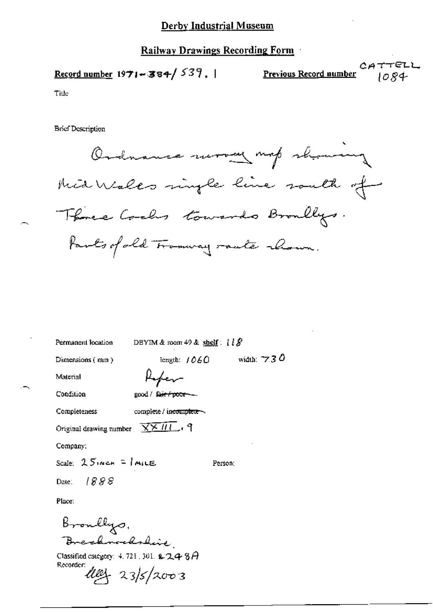## Derby Industrial Museum

## **Railway Drawings Recording Form**

 $CATTELL$ Previous Record number Record number  $1971 - 384 / 537$ . 1084

Title

**Brief Description** 

Ordnance work map showing Mid Walks single line south of Three Cools towards Broadlys. Parts of old Framway raute chown.

| Permanent location                                     | DBYIM & room 49 & shelf: $l \& S$    |                     |
|--------------------------------------------------------|--------------------------------------|---------------------|
| Dimensions (mm)                                        | length: $1060$                       | width: $\gamma$ 3 0 |
| Material                                               |                                      |                     |
| Condition                                              | good / fa <del>ir / poor - -</del> - |                     |
| Completeness                                           | complete / incomplete                |                     |
| Original drawing number $\sqrt{X^2+H}$ , $\gamma$      |                                      |                     |
| Company:                                               |                                      |                     |
| Scale: 25 Noch = MILE                                  |                                      | Person:             |
| Date: 1888                                             |                                      |                     |
| Place:                                                 |                                      |                     |
|                                                        |                                      |                     |
| Broullys,<br>Brezhnoedsleie                            |                                      |                     |
| Classified category: 4, 721, 301, <b>2, 2, 4, 8, A</b> |                                      |                     |

Recorder *Ulle*s 23/5/2003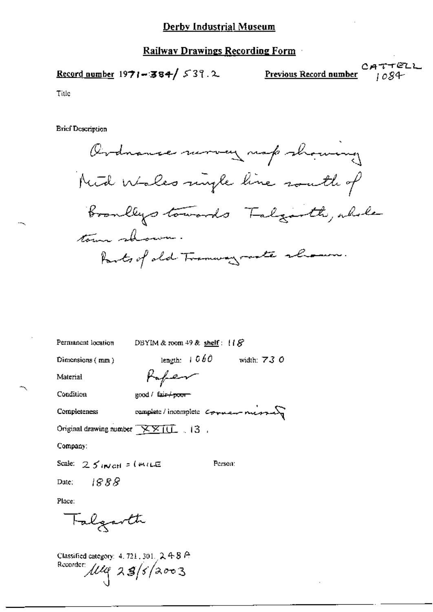## **Railway Drawings Recording Form**

$$
\underline{\text{Record number}} 1971 - 384 / 537.2
$$

Previous Record number

CATTELL  $1084$ 

Title

**Brief Description** 

Ordnance moving map showing Nied Wales myle line south of broadlys towards Talgarth, whole town shown Parts of old Tramway mate shown.

| Permanent location                      | DBYIM & room 49 & shelf: $18$ |                  |                                      |  |
|-----------------------------------------|-------------------------------|------------------|--------------------------------------|--|
| Dimensions (mm)                         |                               | length: $+ 0.60$ | width: $730$                         |  |
| Material                                | Rafer                         |                  |                                      |  |
| Condition                               | good / fair+poor              |                  |                                      |  |
| Completeness                            |                               |                  | complete / incomplete comment messes |  |
| Original drawing number <b>XXIII</b> 13 |                               |                  |                                      |  |
| Company:                                |                               |                  |                                      |  |
| Scale: $25$ interior ( <i>WILE</i>      |                               |                  | Person:                              |  |
| Date: $1888$                            |                               |                  |                                      |  |
| Place:                                  |                               |                  |                                      |  |

Classified category: 4, 721, 301, 2, 4-8 A Recorder 114 28/5/2003

Falgarth